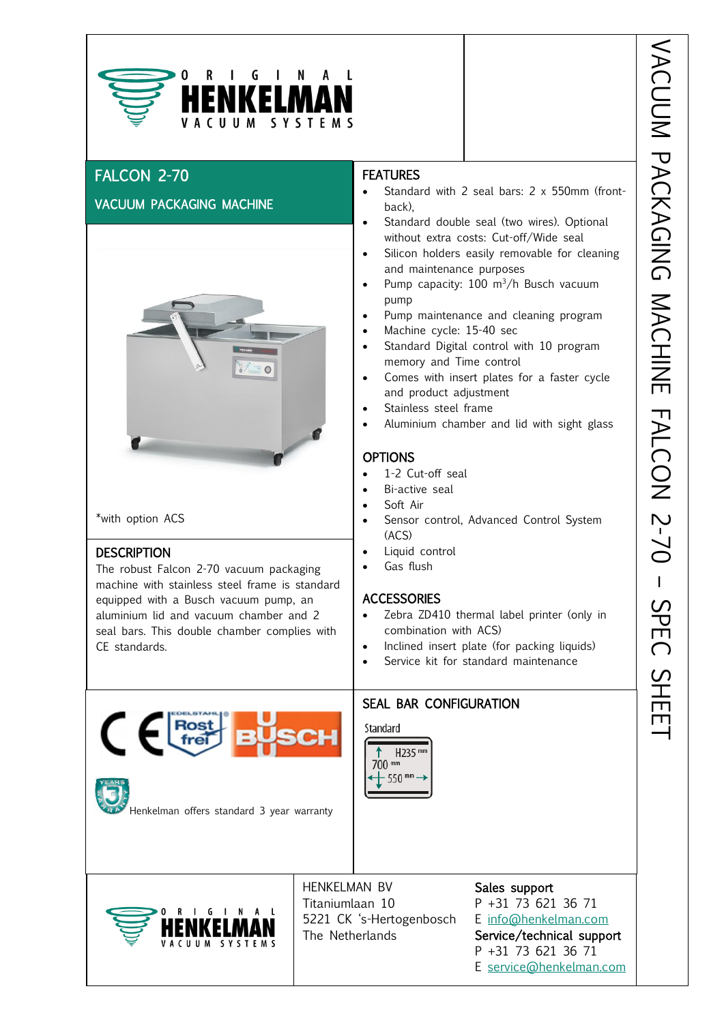

# FALCON 2-70

## VACUUM PACKAGING MACHINE



\*with option ACS

#### DESCRIPTION

The robust Falcon 2-70 vacuum packaging machine with stainless steel frame is standard equipped with a Busch vacuum pump, an aluminium lid and vacuum chamber and 2 seal bars. This double chamber complies with CE standards.

#### **FEATURES**

- ht-<br>g • Standard with 2 seal bars: 2 x 550mm (frontback),
- Standard double seal (two wires). Optional without extra costs: Cut-off/Wide seal
- Silicon holders easily removable for cleaning and maintenance purposes
- Pump capacity:  $100 \text{ m}^3/h$  Busch vacuum pump
- Pump maintenance and cleaning program
- Machine cycle: 15-40 sec
- Standard Digital control with 10 program memory and Time control
- Comes with insert plates for a faster cycle and product adjustment
- Stainless steel frame
- Aluminium chamber and lid with sight glass

#### **OPTIONS**

- 1-2 Cut-off seal
- Bi-active seal
- Soft Air
- Sensor control, Advanced Control System (ACS)
- Liquid control
- Gas flush

#### **ACCESSORIES**

- Zebra ZD410 thermal label printer (only in combination with ACS)
- Inclined insert plate (for packing liquids)
- Service kit for standard maintenance

Standard SEAL BAR CONFIGURATION



Henkelman offers standard 3 year warranty

G  $\mathsf{N}$  $C \parallel \parallel M$ 

HENKELMAN BV Sales support Titaniumlaan 10 P +31 73 621 36 71 5221 CK 's-Hertogenbosch E [info@henkelman.com](mailto:info@henkelman.com) The Netherlands Service/technical support P +31 73 621 36 71 E [service@henkelman.com](mailto:service@henkelman.com)